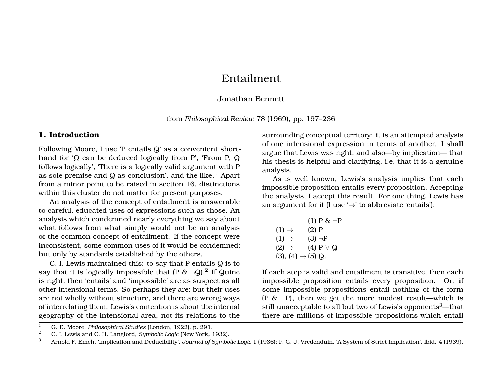# Entailment

## Jonathan Bennett

from *Philosophical Review* 78 (1969), pp. 197–236

#### **1. Introduction**

Following Moore, I use 'P entails Q' as a convenient shorthand for 'Q can be deduced logically from P', 'From P, Q follows logically', 'There is a logically valid argument with P as sole premise and  $Q$  as conclusion', and the like.<sup>1</sup> Apart from a minor point to be raised in section 16, distinctions within this cluster do not matter for present purposes.

An analysis of the concept of entailment is answerable to careful, educated uses of expressions such as those. An analysis which condemned nearly everything we say about what follows from what simply would not be an analysis of the common concept of entailment. If the concept were inconsistent, some common uses of it would be condemned; but only by standards established by the others.

C. I. Lewis maintained this: to say that P entails Q is to say that it is logically impossible that (P & ¬Q). $^2$  If Quine is right, then 'entails' and 'impossible' are as suspect as all other intensional terms. So perhaps they are; but their uses are not wholly without structure, and there are wrong ways of interrelating them. Lewis's contention is about the internal geography of the intensional area, not its relations to the

surrounding conceptual territory: it is an attempted analysis of one intensional expression in terms of another. I shall argue that Lewis was right, and also—by implication— that his thesis is helpful and clarifying, i.e. that it is a genuine analysis.

As is well known, Lewis's analysis implies that each impossible proposition entails every proposition. Accepting the analysis, I accept this result. For one thing, Lewis has an argument for it (I use  $\rightarrow$ ' to abbreviate 'entails'):

|                               | (1) P & $\neg P$ |
|-------------------------------|------------------|
| $(1) \rightarrow$             | (2) P            |
| $(1) \rightarrow$             | $(3) \neg P$     |
| $(2) \rightarrow$             | (4) P $\vee$ Q   |
| $(3), (4) \rightarrow (5)$ Q. |                  |

If each step is valid and entailment is transitive, then each impossible proposition entails every proposition. Or, if some impossible propositions entail nothing of the form (P &  $\neg$ P), then we get the more modest result—which is still unacceptable to all but two of Lewis's opponents<sup>3</sup>—that there are millions of impossible propositions which entail

<sup>1</sup> G. E. Moore, *Philosophical Studies* (London, 1922), p. 291.

<sup>&</sup>lt;sup>2</sup> C. I. Lewis and C. H. Langford, *Symbolic Logic* (New York, 1932).

<sup>3</sup> Arnold F. Emch, 'Implication and Deducibility', *Journal of Symbolic Logic* 1 (1936); P. G. J. Vredenduin, 'A System of Strict Implication', ibid. 4 (1939).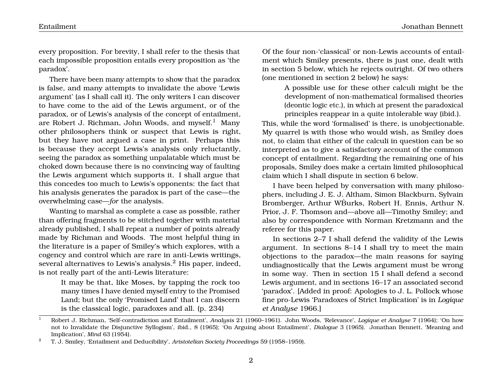every proposition. For brevity, I shall refer to the thesis that each impossible proposition entails every proposition as 'the paradox'.

There have been many attempts to show that the paradox is false, and many attempts to invalidate the above 'Lewis argument' (as I shall call it). The only writers I can discover to have come to the aid of the Lewis argument, or of the paradox, or of Lewis's analysis of the concept of entailment, are Robert J. Richman, John Woods, and myself.<sup>1</sup> Many other philosophers think or suspect that Lewis is right, but they have not argued a case in print. Perhaps this is because they accept Lewis's analysis only reluctantly, seeing the paradox as something unpalatable which must be choked down because there is no convincing way of faulting the Lewis argument which supports it. I shall argue that this concedes too much to Lewis's opponents: the fact that his analysis generates the paradox is part of the case—the overwhelming case—*for* the analysis.

Wanting to marshal as complete a case as possible, rather than offering fragments to be stitched together with material already published, I shall repeat a number of points already made by Richman and Woods. The most helpful thing in the literature is a paper of Smiley's which explores, with a cogency and control which are rare in anti-Lewis writings, several alternatives to Lewis's analysis.<sup>2</sup> His paper, indeed, is not really part of the anti-Lewis literature:

> It may be that, like Moses, by tapping the rock too many times I have denied myself entry to the Promised Land; but the only 'Promised Land' that I can discern is the classical logic, paradoxes and all. (p. 234)

Of the four non-'classical' or non-Lewis accounts of entailment which Smiley presents, there is just one, dealt with in section 5 below, which he rejects outright. Of two others (one mentioned in section 2 below) he says:

> A possible use for these other calculi might be the development of non-mathematical formalised theories (deontic logic etc.), in which at present the paradoxical principles reappear in a quite intolerable way (ibid.).

This, while the word 'formalised' is there, is unobjectionable. My quarrel is with those who would wish, as Smiley does not, to claim that either of the calculi in question can be so interpreted as to give a satisfactory account of the common concept of entailment. Regarding the remaining one of his proposals, Smiley does make a certain limited philosophical claim which I shall dispute in section 6 below.

I have been helped by conversation with many philosophers, including J. E. J. Altham, Simon Blackburn, Sylvain Bromberger, Arthur WBurks, Robert H. Ennis, Arthur N. Prior, J. F. Thomson and—above all—Timothy Smiley; and also by correspondence with Norman Kretzmann and the referee for this paper.

In sections 2–7 I shall defend the validity of the Lewis argument. In sections 8–14 I shall try to meet the main objections to the paradox—the main reasons for saying undiagnostically that the Lewis argument must be wrong in some way. Then in section 15 I shall defend a second Lewis argument, and in sections 16–17 an associated second 'paradox'. [Added in proof: Apologies to J. L. Pollock whose fine pro-Lewis 'Paradoxes of Strict Implication' is in *Logique et Analyse* 1966.]

<sup>1</sup> Robert J. Richman, 'Self-contradiction and Entailment', *Analysis* 21 (1960–1961). John Woods, 'Relevance', *Logique et Analyse* 7 (1964); 'On how not to Invalidate the Disjunctive Syllogism', ibid., 8 (1965); 'On Arguing about Entailment', *Dialogue* 3 (1965). Jonathan Bennett, 'Meaning and Implication', *Mind* 63 (1954).

<sup>2</sup> T. J. Smiley, 'Entailment and Deducibility', *Aristotelian Society Proceedings* 59 (1958–1959).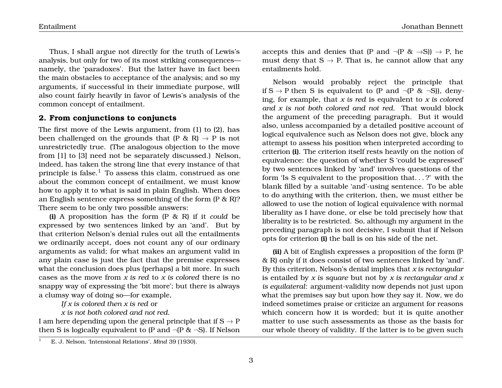Thus, I shall argue not directly for the truth of Lewis's analysis, but only for two of its most striking consequences namely, the 'paradoxes'. But the latter have in fact been the main obstacles to acceptance of the analysis; and so my arguments, if successful in their immediate purpose, will also count fairly heavily in favor of Lewis's analysis of the common concept of entailment.

#### **2. From conjunctions to conjuncts**

The first move of the Lewis argument, from (1) to (2), has been challenged on the grounds that  $(P \& R) \rightarrow P$  is not unrestrictedly true. (The analogous objection to the move from [1] to [3] need not be separately discussed.) Nelson, indeed, has taken the strong line that every instance of that principle is false.<sup>1</sup> To assess this claim, construed as one about the common concept of entailment, we must know how to apply it to what is said in plain English. When does an English sentence express something of the form (P & R)? There seem to be only two possible answers:

**(i)** A proposition has the form (P & R) if it *could* be expressed by two sentences linked by an 'and'. But by that criterion Nelson's denial rules out all the entailments we ordinarily accept, does not count any of our ordinary arguments as valid; for what makes an argument valid in any plain case is just the fact that the premise expresses what the conclusion does plus (perhaps) a bit more. In such cases as the move from *x is red* to *x is colored* there is no snappy way of expressing the 'bit more'; but there is always a clumsy way of doing so—for example,

*If x is colored then x is red* or

*x is not both colored and not red*.

I am here depending upon the general principle that if  $S \rightarrow P$ then S is logically equivalent to (P and  $\neg$ (P &  $\neg$ S). If Nelson

accepts this and denies that (P and  $\neg (P \& \rightarrow S)$ )  $\rightarrow P$ , he must deny that  $S \rightarrow P$ . That is, he cannot allow that any entailments hold.

Nelson would probably reject the principle that if  $S \rightarrow P$  then S is equivalent to  $(P \text{ and } \neg (P \& \neg S))$ , denying, for example, that *x is red* is equivalent to *x is colored and x is not both colored and not red*. That would block the argument of the preceding paragraph. But it would also, unless accompanied by a detailed positive account of logical equivalence such as Nelson does not give, block any attempt to assess his position when interpreted according to criterion **(i)**. The criterion itself rests heavily on the notion of equivalence: the question of whether S 'could be expressed' by two sentences linked by 'and' involves questions of the form 'Is S equivalent to the proposition that. . . ?' with the blank filled by a suitable 'and'-using sentence. To be able to do anything with the criterion, then, we must either be allowed to use the notion of logical equivalence with normal liberality as I have done, or else be told precisely how that liberality is to be restricted. So, although my argument in the preceding paragraph is not decisive, I submit that if Nelson opts for criterion **(i)** the ball is on his side of the net.

**(ii)** A bit of English expresses a proposition of the form (P & R) only if it does consist of two sentences linked by 'and'. By this criterion, Nelson's denial implies that *x is rectangular* is entailed by *x is square* but not by *x is rectangular and x is equilateral*: argument-validity now depends not just upon what the premises say but upon how they say it. Now, we do indeed sometimes praise or criticize an argument for reasons which concern how it is worded; but it is quite another matter to use such assessments as those as the basis for our whole theory of validity. If the latter is to be given such

<sup>1</sup> E. J. Nelson, 'Intensional Relations', *Mind* 39 (1930).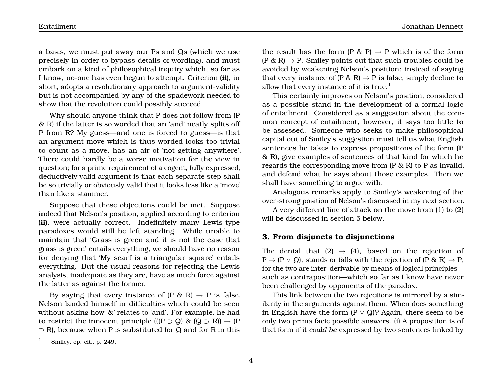a basis, we must put away our Ps and Qs (which we use precisely in order to bypass details of wording), and must embark on a kind of philosophical inquiry which, so far as I know, no-one has even begun to attempt. Criterion **(ii)**, in short, adopts a revolutionary approach to argument-validity but is not accompanied by any of the spadework needed to show that the revolution could possibly succeed.

Why should anyone think that P does not follow from (P & R) if the latter is so worded that an 'and' neatly splits off P from R? My guess—and one is forced to guess—is that an argument-move which is thus worded looks too trivial to count as a move, has an air of 'not getting anywhere'. There could hardly be a worse motivation for the view in question; for a prime requirement of a cogent, fully expressed, deductively valid argument is that each separate step shall be so trivially or obviously valid that it looks less like a 'move' than like a stammer.

Suppose that these objections could be met. Suppose indeed that Nelson's position, applied according to criterion **(ii)**, were actually correct. Indefinitely many Lewis-type paradoxes would still be left standing. While unable to maintain that 'Grass is green and it is not the case that grass is green' entails everything, we should have no reason for denying that 'My scarf is a triangular square' entails everything. But the usual reasons for rejecting the Lewis analysis, inadequate as they are, have as much force against the latter as against the former.

By saying that every instance of  $(P \& R) \rightarrow P$  is false, Nelson landed himself in difficulties which could be seen without asking how '&' relates to 'and'. For example, he had to restrict the innocent principle (((P  $\supset$  Q) & (Q  $\supset$  R))  $\rightarrow$  (P ⊃ R), because when P is substituted for Q and for R in this

the result has the form  $(P \& P) \rightarrow P$  which is of the form  $(P \& R) \rightarrow P$ . Smiley points out that such troubles could be avoided by weakening Nelson's position: instead of saying that every instance of  $(P \& R) \rightarrow P$  is false, simply decline to allow that every instance of it is true.<sup>1</sup>

This certainly improves on Nelson's position, considered as a possible stand in the development of a formal logic of entailment. Considered as a suggestion about the common concept of entailment, however, it says too little to be assessed. Someone who seeks to make philosophical capital out of Smiley's suggestion must tell us what English sentences he takes to express propositions of the form (P & R), give examples of sentences of that kind for which he regards the corresponding move from (P & R) to P as invalid, and defend what he says about those examples. Then we shall have something to argue with.

Analogous remarks apply to Smiley's weakening of the over-strong position of Nelson's discussed in my next section.

A very different line of attack on the move from (1) to (2) will be discussed in section 5 below.

## **3. From disjuncts to disjunctions**

The denial that  $(2) \rightarrow (4)$ , based on the rejection of  $P \rightarrow (P \vee Q)$ , stands or falls with the rejection of  $(P \& R) \rightarrow P$ ; for the two are inter-derivable by means of logical principles such as contraposition—which so far as I know have never been challenged by opponents of the paradox.

This link between the two rejections is mirrored by a similarity in the arguments against them. When does something in English have the form  $(P \vee Q)$ ? Again, there seem to be only two prima facie possible answers. (i) A proposition is of that form if it *could be* expressed by two sentences linked by

Smiley, op. cit., p. 249.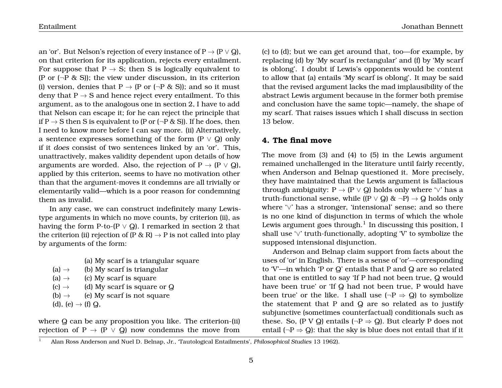an 'or'. But Nelson's rejection of every instance of  $P \rightarrow (P \vee Q)$ , on that criterion for its application, rejects every entailment. For suppose that  $P \rightarrow S$ ; then S is logically equivalent to (P or  $(-P \& S)$ ); the view under discussion, in its criterion (i) version, denies that  $P \rightarrow (P \text{ or } (\neg P \& S))$ ; and so it must deny that  $P \rightarrow S$  and hence reject every entailment. To this argument, as to the analogous one in section 2, I have to add that Nelson can escape it; for he can reject the principle that if  $P \rightarrow S$  then S is equivalent to (P or (¬P & S)). If he does, then I need to know more before I can say more. (ii) Alternatively, a sentence expresses something of the form  $(P \vee Q)$  only if it *does* consist of two sentences linked by an 'or'. This, unattractively, makes validity dependent upon details of how arguments are worded. Also, the rejection of  $P \rightarrow (P \vee Q)$ , applied by this criterion, seems to have no motivation other than that the argument-moves it condemns are all trivially or elementarily valid—which is a poor reason for condemning them as invalid.

In any case, we can construct indefinitely many Lewistype arguments in which no move counts, by criterion (ii), as having the form P-to- $(P \vee Q)$ . I remarked in section 2 that the criterion (ii) rejection of (P & R)  $\rightarrow$  P is not called into play by arguments of the form:

|                                  | (a) My scarf is a triangular square |
|----------------------------------|-------------------------------------|
| (a) $\rightarrow$                | (b) My scarf is triangular          |
| (a) $\rightarrow$                | (c) My scarf is square              |
| $(c) \rightarrow$                | (d) My scarf is square or $Q$       |
| $(b) \rightarrow$                | (e) My scarf is not square          |
| (d), (e) $\rightarrow$ (f) $Q$ , |                                     |

where Q can be any proposition you like. The criterion-(ii) rejection of P  $\rightarrow$  (P  $\vee$  Q) now condemns the move from (c) to (d); but we can get around that, too—for example, by replacing (d) by 'My scarf is rectangular' and (f) by 'My scarf is oblong'. I doubt if Lewis's opponents would be content to allow that (a) entails 'My scarf is oblong'. It may be said that the revised argument lacks the mad implausibility of the abstract Lewis argument because in the former both premise and conclusion have the same topic—namely, the shape of my scarf. That raises issues which I shall discuss in section 13 below.

## **4. The final move**

The move from (3) and (4) to (5) in the Lewis argument remained unchallenged in the literature until fairly recently, when Anderson and Belnap questioned it. More precisely, they have maintained that the Lewis argument is fallacious through ambiguity:  $P \rightarrow (P \vee Q)$  holds only where ' $\vee$ ' has a truth-functional sense, while ( $(P \vee Q)$  & ¬P)  $\rightarrow Q$  holds only where '∨' has a stronger, 'intensional' sense; and so there is no one kind of disjunction in terms of which the whole Lewis argument goes through. $^{\rm l}$  In discussing this position, I shall use '∨' truth-functionally, adopting 'V' to symbolize the supposed intensional disjunction.

Anderson and Belnap claim support from facts about the uses of 'or' in English. There is a sense of 'or'—corresponding to 'V'—in which 'P or Q' entails that P and Q are so related that one is entitled to say 'If P had not been true, Q would have been true' or 'If Q had not been true, P would have been true' or the like. I shall use  $(\neg P \Rightarrow Q)$  to symbolize the statement that P and Q are so related as to justify subjunctive (sometimes counterfactual) conditionals such as these. So, (P V Q) entails ( $\neg P \Rightarrow Q$ ). But clearly P does not entail ( $\neg P \Rightarrow Q$ ): that the sky is blue does not entail that if it

<sup>1</sup> Alan Ross Anderson and Nuel D. Belnap, Jr., 'Tautological Entailments', *Philosophical Studies* 13 1962).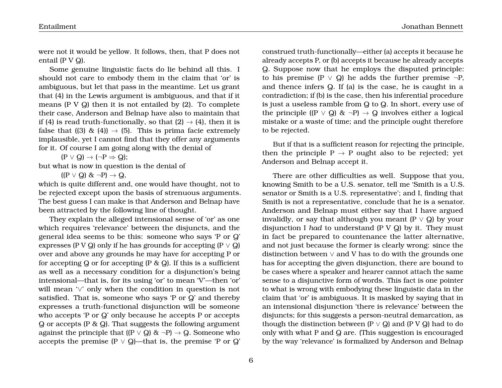were not it would be yellow. It follows, then, that P does not entail (P V Q).

Some genuine linguistic facts do lie behind all this. I should not care to embody them in the claim that 'or' is ambiguous, but let that pass in the meantime. Let us grant that (4) in the Lewis argument is ambiguous, and that if it means (P V Q) then it is not entailed by (2). To complete their case, Anderson and Belnap have also to maintain that if (4) is read truth-functionally, so that  $(2) \rightarrow (4)$ , then it is false that ((3) & (4))  $\rightarrow$  (5). This is prima facie extremely implausible, yet I cannot find that they offer any arguments for it. Of course I am going along with the denial of

 $(P \vee Q) \rightarrow (\neg P \Rightarrow Q);$ 

but what is now in question is the denial of

 $((P \vee Q) \& \neg P) \rightarrow Q,$ 

which is quite different and, one would have thought, not to be rejected except upon the basis of strenuous arguments. The best guess I can make is that Anderson and Belnap have been attracted by the following line of thought.

They explain the alleged intensional sense of 'or' as one which requires 'relevance' between the disjuncts, and the general idea seems to be this: someone who says 'P or Q' expresses (P V Q) only if he has grounds for accepting (P  $\vee$  Q) over and above any grounds he may have for accepting P or for accepting  $Q$  or for accepting  $(P \& Q)$ . If this is a sufficient as well as a necessary condition for a disjunction's being intensional—that is, for its using 'or' to mean 'V'—then 'or' will mean '∨' only when the condition in question is not satisfied. That is, someone who says 'P or Q' and thereby expresses a truth-functional disjunction will be someone who accepts 'P or Q' only because he accepts P or accepts Q or accepts (P & Q). That suggests the following argument against the principle that ((P  $\vee$  Q) &  $\neg$ P)  $\rightarrow$  Q. Someone who accepts the premise ( $P \vee Q$ )—that is, the premise 'P or Q'

construed truth-functionally—either (a) accepts it because he already accepts P, or (b) accepts it because he already accepts Q. Suppose now that he employs the disputed principle: to his premise (P  $\vee$  Q) he adds the further premise  $\neg P$ , and thence infers Q. If (a) is the case, he is caught in a contradiction; if (b) is the case, then his inferential procedure is just a useless ramble from Q to Q. In short, every use of the principle ((P  $\vee$  Q) &  $\neg$ P)  $\rightarrow$  Q involves either a logical mistake or a waste of time; and the principle ought therefore to be rejected.

But if that is a sufficient reason for rejecting the principle, then the principle  $P \rightarrow P$  ought also to be rejected; yet Anderson and Belnap accept it.

There are other difficulties as well. Suppose that you, knowing Smith to be a U.S. senator, tell me 'Smith is a U.S. senator or Smith is a U.S. representative'; and I, finding that Smith is not a representative, conclude that he is a senator. Anderson and Belnap must either say that I have argued invalidly, or say that although you meant ( $P \vee Q$ ) by your disjunction I *had* to understand (P V Q) by it. They must in fact be prepared to countenance the latter alternative, and not just because the former is clearly wrong: since the distinction between  $\vee$  and V has to do with the grounds one has for accepting the given disjunction, there are bound to be cases where a speaker and hearer cannot attach the same sense to a disjunctive form of words. This fact is one pointer to what is wrong with embodying these linguistic data in the claim that 'or' is ambiguous. It is masked by saying that in an intensional disjunction 'there is relevance' between the disjuncts; for this suggests a person-neutral demarcation, as though the distinction between (P  $\vee$  Q) and (P  $\vee$  Q) had to do only with what P and Q are. (This suggestion is encouraged by the way 'relevance' is formalized by Anderson and Belnap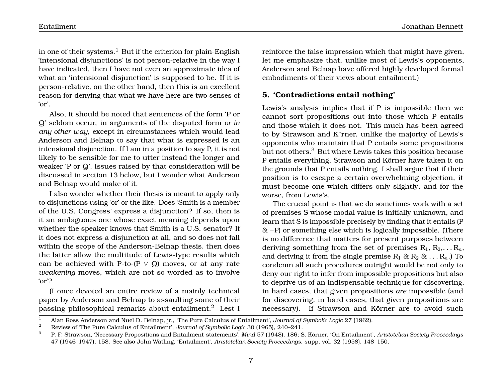in one of their systems.<sup>1</sup> But if the criterion for plain-English 'intensional disjunctions' is not person-relative in the way I have indicated, then I have not even an approximate idea of what an 'intensional disjunction' is supposed to be. If it is person-relative, on the other hand, then this is an excellent reason for denying that what we have here are two senses of 'or'.

Also, it should be noted that sentences of the form 'P or Q' seldom occur, in arguments of the disputed form *or in any other way*, except in circumstances which would lead Anderson and Belnap to say that what is expressed is an intensional disjunction. If I am in a position to say P, it is not likely to be sensible for me to utter instead the longer and weaker 'P or Q'. Issues raised by that consideration will be discussed in section 13 below, but I wonder what Anderson and Belnap would make of it.

I also wonder whether their thesis is meant to apply only to disjunctions using 'or' or the like. Does 'Smith is a member of the U.S. Congress' express a disjunction? If so, then is it an ambiguous one whose exact meaning depends upon whether the speaker knows that Smith is a U.S. senator? If it does not express a disjunction at all, and so does not fall within the scope of the Anderson-Belnap thesis, then does the latter allow the multitude of Lewis-type results which can be achieved with P-to- $(P \vee Q)$  moves, or at any rate *weakening* moves, which are not so worded as to involve 'or'?

(I once devoted an entire review of a mainly technical paper by Anderson and Belnap to assaulting some of their passing philosophical remarks about entailment.<sup>2</sup> Lest I reinforce the false impression which that might have given, let me emphasize that, unlike most of Lewis's opponents, Anderson and Belnap have offered highly developed formal embodiments of their views about entailment.)

## **5. 'Contradictions entail nothing'**

Lewis's analysis implies that if P is impossible then we cannot sort propositions out into those which P entails and those which it does not. This much has been agreed to by Strawson and K¨rner, unlike the majority of Lewis's opponents who maintain that P entails some propositions but not others.<sup>3</sup> But where Lewis takes this position because P entails everything, Strawson and Körner have taken it on the grounds that P entails nothing. I shall argue that if their position is to escape a certain overwhelming objection, it must become one which differs only slightly, and for the worse, from Lewis's.

The crucial point is that we do sometimes work with a set of premises S whose modal value is initially unknown, and learn that S is impossible precisely by finding that it entails (P  $\& \neg P$ ) or something else which is logically impossible. (There is no difference that matters for present purposes between deriving something from the set of premises  $R_1, R_2, \ldots, R_n$ , and deriving it from the single premise  $R_1 \& R_2 \& \ldots R_n$ .) To condemn all such procedures outright would be not only to deny our right to infer from impossible propositions but also to deprive us of an indispensable technique for discovering, in hard cases, that given propositions *are* impossible (and for discovering, in hard cases, that given propositions are necessary). If Strawson and Körner are to avoid such

<sup>&</sup>lt;sup>1</sup> Alan Ross Anderson and Nuel D. Belnap, jr., 'The Pure Calculus of Entailment', *Journal of Symbolic Logic* 27 (1962).

<sup>&</sup>lt;sup>2</sup> Review of 'The Pure Calculus of Entailment', *Journal of Symbolic Logic* 30 (1965), 240–241.

<sup>3</sup> P. F. Strawson, 'Necessary Propositions and Entailment-statements', *Mind* 57 (1948), 186; S. Körner, 'On Entailment', *Aristotelian Society Proceedings* 47 (1946–1947), 158. See also John Watling, 'Entailment', *Aristotelian Society Proceedings*, supp. vol. 32 (1958), 148–150.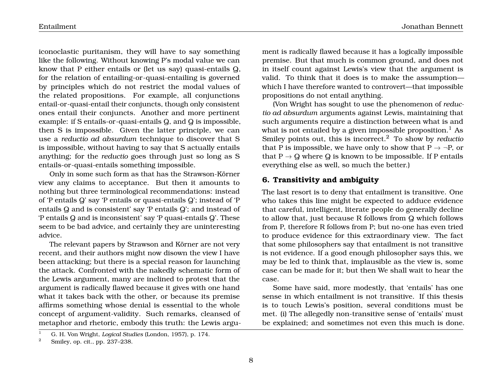iconoclastic puritanism, they will have to say something like the following. Without knowing P's modal value we can know that P either entails or (let us say) quasi-entails Q, for the relation of entailing-or-quasi-entailing is governed by principles which do not restrict the modal values of the related propositions. For example, all conjunctions entail-or-quasi-entail their conjuncts, though only consistent ones entail their conjuncts. Another and more pertinent example: if S entails-or-quasi-entails Q, and Q is impossible, then S is impossible. Given the latter principle, we can use a *reductio ad absurdum* technique to discover that S is impossible, without having to say that S actually entails anything; for the *reductio* goes through just so long as S entails-or-quasi-entails something impossible.

Only in some such form as that has the Strawson-Körner view any claims to acceptance. But then it amounts to nothing but three terminological recommendations: instead of 'P entails Q' say 'P entails or quasi-entails Q'; instead of 'P entails Q and is consistent' say 'P entails Q'; and instead of 'P entails Q and is inconsistent' say 'P quasi-entails Q'. These seem to be bad advice, and certainly they are uninteresting advice.

The relevant papers by Strawson and Körner are not very recent, and their authors might now disown the view I have been attacking; but there is a special reason for launching the attack. Confronted with the nakedly schematic form of the Lewis argument, many are inclined to protest that the argument is radically flawed because it gives with one hand what it takes back with the other, or because its premise affirms something whose denial is essential to the whole concept of argument-validity. Such remarks, cleansed of metaphor and rhetoric, embody this truth: the Lewis argument is radically flawed because it has a logically impossible premise. But that much is common ground, and does not in itself count against Lewis's view that the argument is valid. To think that it does is to make the assumption which I have therefore wanted to controvert—that impossible propositions do not entail anything.

(Von Wright has sought to use the phenomenon of *reductio ad absurdum* arguments against Lewis, maintaining that such arguments require a distinction between what is and what is not entailed by a given impossible proposition.<sup>1</sup> As Smiley points out, this is incorrect.<sup>2</sup> To show by *reductio* that P is impossible, we have only to show that  $P \rightarrow \neg P$ , or that  $P \rightarrow Q$  where Q is known to be impossible. If P entails everything else as well, so much the better.)

## **6. Transitivity and ambiguity**

The last resort is to deny that entailment is transitive. One who takes this line might be expected to adduce evidence that careful, intelligent, literate people do generally decline to allow that, just because R follows from Q which follows from P, therefore R follows from P; but no-one has even tried to produce evidence for this extraordinary view. The fact that some philosophers say that entailment is not transitive is not evidence. If a good enough philosopher says this, we may be led to think that, implausible as the view is, some case can be made for it; but then We shall wait to hear the case.

Some have said, more modestly, that 'entails' has one sense in which entailment is not transitive. If this thesis is to touch Lewis's position, several conditions must be met. (i) The allegedly non-transitive sense of 'entails' must be explained; and sometimes not even this much is done.

<sup>1</sup> G. H. Von Wright, *Logical Studies* (London, 1957), p. 174.

<sup>2</sup> Smiley, op. cit., pp. 237–238.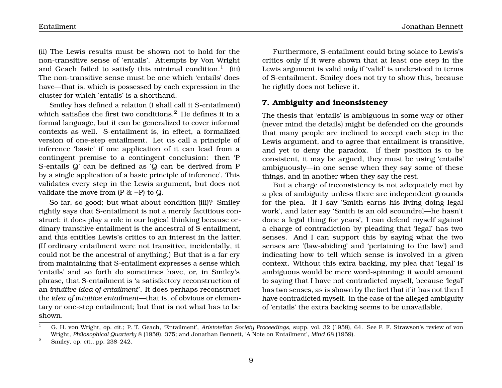Entailment Jonathan Bennett

(ii) The Lewis results must be shown not to hold for the non-transitive sense of 'entails'. Attempts by Von Wright and Geach failed to satisfy this minimal condition. $^1\;$  (iii) The non-transitive sense must be one which 'entails' does have—that is, which is possessed by each expression in the cluster for which 'entails' is a shorthand.

Smiley has defined a relation (I shall call it S-entailment) which satisfies the first two conditions.<sup>2</sup> He defines it in a formal language, but it can be generalized to cover informal contexts as well. S-entailment is, in effect, a formalized version of one-step entailment. Let us call a principle of inference 'basic' if one application of it can lead from a contingent premise to a contingent conclusion: then 'P S-entails Q' can be defined as 'Q can be derived from P by a single application of a basic principle of inference'. This validates every step in the Lewis argument, but does not validate the move from  $(P \& \neg P)$  to  $Q$ .

So far, so good; but what about condition (iii)? Smiley rightly says that S-entailment is not a merely factitious construct: it does play a role in our logical thinking because ordinary transitive entailment is the ancestral of S-entailment, and this entitles Lewis's critics to an interest in the latter. (If ordinary entailment were not transitive, incidentally, it could not be the ancestral of anything.) But that is a far cry from maintaining that S-entailment expresses a sense which 'entails' and so forth do sometimes have, or, in Smiley's phrase, that S-entailment is 'a satisfactory reconstruction of an *intuitive idea of entailment*'. It does perhaps reconstruct the *idea of intuitive entailment*—that is, of obvious or elementary or one-step entailment; but that is not what has to be shown.

Furthermore, S-entailment could bring solace to Lewis's critics only if it were shown that at least one step in the Lewis argument is valid *only* if 'valid' is understood in terms of S-entailment. Smiley does not try to show this, because he rightly does not believe it.

#### **7. Ambiguity and inconsistency**

The thesis that 'entails' is ambiguous in some way or other (never mind the details) might be defended on the grounds that many people are inclined to accept each step in the Lewis argument, and to agree that entailment is transitive, and yet to deny the paradox. If their position is to be consistent, it may be argued, they must be using 'entails' ambiguously—in one sense when they say some of these things, and in another when they say the rest.

But a charge of inconsistency is not adequately met by a plea of ambiguity unless there are independent grounds for the plea. If I say 'Smith earns his living doing legal work', and later say 'Smith is an old scoundrel—he hasn't done a legal thing for years', I can defend myself against a charge of contradiction by pleading that 'legal' has two senses. And I can support this by saying what the two senses are '(law-abiding' and 'pertaining to the law') and indicating how to tell which sense is involved in a given context. Without this extra backing, my plea that 'legal' is ambiguous would be mere word-spinning: it would amount to saying that I have not contradicted myself, because 'legal' has two senses, as is shown by the fact that if it has not then I have contradicted myself. In the case of the alleged ambiguity of 'entails' the extra backing seems to be unavailable.

<sup>1</sup> G. H. von Wright, op. cit.; P. T. Geach, 'Entailment', *Aristotelian Society Proceedings*, supp. vol. 32 (1958), 64. See P. F. Strawson's review of von Wright, *Philosophical Quarterly* 8 (1958), 375; and Jonathan Bennett, 'A Note on Entailment', *Mind* 68 (1959).

<sup>&</sup>lt;sup>2</sup> Smiley, op. cit., pp.  $238-242$ .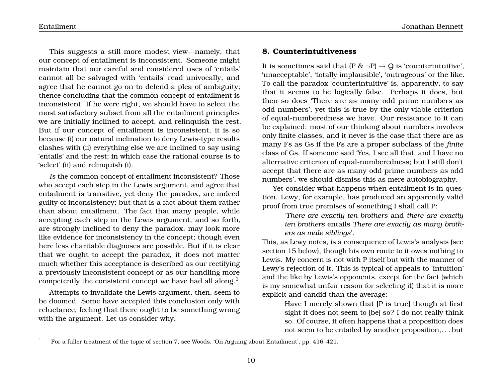This suggests a still more modest view—namely, that our concept of entailment is inconsistent. Someone might maintain that our careful and considered uses of 'entails' cannot all be salvaged with 'entails' read univocally, and agree that he cannot go on to defend a plea of ambiguity; thence concluding that the common concept of entailment is inconsistent. If he were right, we should have to select the most satisfactory subset from all the entailment principles we are initially inclined to accept, and relinquish the rest. But if our concept of entailment is inconsistent, it is so because (i) our natural inclination to deny Lewis-type results clashes with (ii) everything else we are inclined to say using 'entails' and the rest; in which case the rational course is to 'select' (ii) and relinquish (i).

*Is* the common concept of entailment inconsistent? Those who accept each step in the Lewis argument, and agree that entailment is transitive, yet deny the paradox, are indeed guilty of inconsistency; but that is a fact about them rather than about entailment. The fact that many people, while accepting each step in the Lewis argument, and so forth, are strongly inclined to deny the paradox, may look more like evidence for inconsistency in the concept; though even here less charitable diagnoses are possible. But if it is clear that we ought to accept the paradox, it does not matter much whether this acceptance is described as our rectifying a previously inconsistent concept or as our handling more competently the consistent concept we have had all along.<sup>1</sup>

Attempts to invalidate the Lewis argument, then, seem to be doomed. Some have accepted this conclusion only with reluctance, feeling that there ought to be something wrong with the argument. Let us consider why.

#### **8. Counterintuitiveness**

It is sometimes said that  $(P \& \neg P) \rightarrow Q$  is 'counterintuitive', 'unacceptable', 'totally implausible', 'outrageous' or the like. To call the paradox 'counterintuitive' is, apparently, to say that it seems to be logically false. Perhaps it does, but then so does 'There are as many odd prime numbers as odd numbers', yet this is true by the only viable criterion of equal-numberedness we have. Our resistance to it can be explained: most of our thinking about numbers involves only finite classes, and it never is the case that there are as many Fs as Gs if the Fs are a proper subclass of the *finite* class of Gs. If someone said 'Yes, I see all that, and I have no alternative criterion of equal-numberedness; but I still don't accept that there are as many odd prime numbers as odd numbers', we should dismiss this as mere autobiography.

Yet consider what happens when entailment is in question. Lewy, for example, has produced an apparently valid proof from true premises of something I shall call P:

> '*There are exactly ten brothers* and *there are exactly ten brothers* entails *There are exactly as many brothers as male siblings*'.

This, as Lewy notes, is a consequence of Lewis's analysis (see section 15 below), though his own route to it owes nothing to Lewis. My concern is not with P itself but with the manner of Lewy's rejection of it. This is typical of appeals to 'intuition' and the like by Lewis's opponents, except for the fact (which is my somewhat unfair reason for selecting it) that it is more explicit and candid than the average:

> Have I merely shown that [P is true] though at first sight it does not seem to [be] so? I do not really think so. Of course, it often happens that a proposition does not seem to be entailed by another proposition,. . . but

<sup>1</sup> For a fuller treatment of the topic of section 7, see Woods, 'On Arguing about Entailment', pp. 416–421.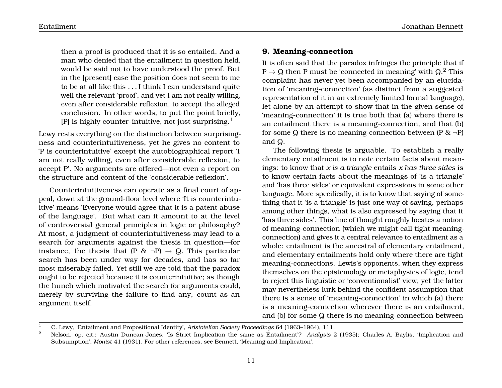then a proof is produced that it is so entailed. And a man who denied that the entailment in question held, would be said not to have understood the proof. But in the [present] case the position does not seem to me to be at all like this . . . I think I can understand quite well the relevant 'proof', and yet I am not really willing, even after considerable reflexion, to accept the alleged conclusion. In other words, to put the point briefly, [P] is highly counter-intuitive, not just surprising.<sup>1</sup>

Lewy rests everything on the distinction between surprisingness and counterintuitiveness, yet he gives no content to 'P is counterintuitive' except the autobiographical report 'I am not really willing, even after considerable reflexion, to accept P'. No arguments are offered—not even a report on the structure and content of the 'considerable reflexion'.

Counterintuitiveness can operate as a final court of appeal, down at the ground-floor level where 'It is counterintuitive' means 'Everyone would agree that it is a patent abuse of the language'. But what can it amount to at the level of controversial general principles in logic or philosophy? At most, a judgment of counterintuitiveness may lead to a search for arguments against the thesis in question—for instance, the thesis that (P &  $\neg$ P)  $\rightarrow$  Q. This particular search has been under way for decades, and has so far most miserably failed. Yet still we are told that the paradox ought to be rejected because it is counterintuitive; as though the hunch which motivated the search for arguments could, merely by surviving the failure to find any, count as an argument itself.

## Entailment Jonathan Bennett

#### **9. Meaning-connection**

It is often said that the paradox infringes the principle that if  $P \rightarrow Q$  then P must be 'connected in meaning' with  $Q<sup>2</sup>$ . This complaint has never yet been accompanied by an elucidation of 'meaning-connection' (as distinct from a suggested representation of it in an extremely limited formal language), let alone by an attempt to show that in the given sense of 'meaning-connection' it is true both that (a) where there is an entailment there is a meaning-connection, and that (b) for some Q there is no meaning-connection between  $(P \& \neg P)$ and Q.

The following thesis is arguable. To establish a really elementary entailment is to note certain facts about meanings: to know that *x is a triangle* entails *x has three sides* is to know certain facts about the meanings of 'is a triangle' and 'has three sides' or equivalent expressions in some other language. More specifically, it is to know that saying of something that it 'is a triangle' is just one way of saying, perhaps among other things, what is also expressed by saying that it 'has three sides'. This line of thought roughly locates a notion of meaning-connection (which we might call tight meaningconnection) and gives it a central relevance to entailment as a whole: entailment is the ancestral of elementary entailment, and elementary entailments hold only where there are tight meaning-connections. Lewis's opponents, when they express themselves on the epistemology or metaphysics of logic, tend to reject this linguistic or 'conventionalist' view; yet the latter may nevertheless lurk behind the confident assumption that there is a sense of 'meaning-connection' in which (a) there is a meaning-connection wherever there is an entailment, and (b) for some Q there is no meaning-connection between

<sup>1</sup> C. Lewy, 'Entailment and Propositional Identity', *Aristotelian Society Proceedings* 64 (1963–1964), 111.

<sup>2</sup> Nelson, op. cit.; Austin Duncan-Jones, 'Is Strict Implication the same as Entailment'? *Analysis* 2 (1935); Charles A. Baylis, 'Implication and Subsumption', *Monist* 41 (1931). For other references, see Bennett, 'Meaning and Implication'.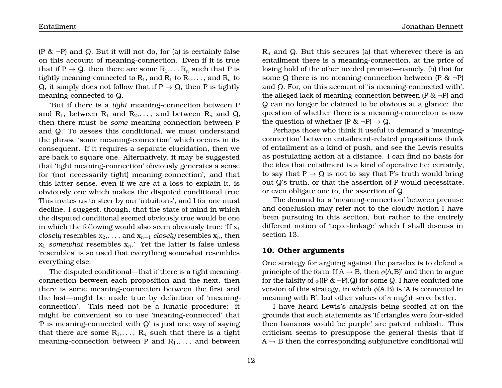(P  $\&$   $\neg$ P) and Q. But it will not do, for (a) is certainly false on this account of meaning-connection. Even if it is true that if P  $\rightarrow$  Q. then there are some  $R_1, \ldots, R_n$  such that P is tightly meaning-connected to  $R_1$ , and  $R_1$  to  $R_2$ ,..., and  $R_n$  to Q, it simply does not follow that if  $P \rightarrow Q$ , then P is tightly meaning-connected to Q.

'But if there is a *tight* meaning-connection between P and  $R_1$ , between  $R_1$  and  $R_2$ ,..., and between  $R_n$  and  $Q_2$ , then there must be *some* meaning-connection between P and Q.' To assess this conditional, we must understand the phrase 'some meaning-connection' which occurs in its consequent. If it requires a separate elucidation, then we are back to square one. Alternatively, it may be suggested that 'tight meaning-connection' obviously generates a sense for '(not necessarily tight) meaning-connection', and that this latter sense, even if we are at a loss to explain it, is obviously one which makes the disputed conditional true. This invites us to steer by our 'intuitions', and I for one must decline. I suggest, though, that the state of mind in which the disputed conditional seemed obviously true would be one in which the following would also seem obviously true: 'If  $x_1$ *closely* resembles  $x_2$ ,..., and  $x_{n-1}$  *closely* resembles  $x_n$ , then  $x_1$  *somewhat* resembles  $x_n$ .' Yet the latter is false unless 'resembles' is so used that everything somewhat resembles everything else.

The disputed conditional—that if there is a tight meaningconnection between each proposition and the next, then there is some meaning-connection between the first and the last—might be made true by definition of 'meaningconnection'. This need not be a lunatic procedure: it might be convenient so to use 'meaning-connected' that 'P is meaning-connected with Q' is just one way of saying that there are some  $R_1, \ldots, R_n$  such that there is a tight meaning-connection between P and  $R_1, \ldots$ , and between

 $R_n$  and Q. But this secures (a) that wherever there is an entailment there is a meaning-connection, at the price of losing hold of the other needed premise—namely, (b) that for some Q there is no meaning-connection between  $(P \& \neg P)$ and Q. For, on this account of 'is meaning-connected with', the alleged lack of meaning-connection between ( $P \& \neg P$ ) and Q can no longer be claimed to be obvious at a glance: the question of whether there is a meaning-connection is now the question of whether (P &  $\neg$ P)  $\rightarrow$  Q.

Perhaps those who think it useful to demand a 'meaningconnection' between entailment-related propositions think of entailment as a kind of push, and see the Lewis results as postulating action at a distance. I can find no basis for the idea that entailment is a kind of operative tie: certainly, to say that  $P \rightarrow Q$  is not to say that P's truth would bring out Q's truth, or that the assertion of P would necessitate, or even obligate one to, the assertion of Q.

The demand for a 'meaning-connection' between premise and conclusion may refer not to the cloudy notion I have been pursuing in this section, but rather to the entirely different notion of 'topic-linkage' which I shall discuss in section 13.

## **10. Other arguments**

One strategy for arguing against the paradox is to defend a principle of the form 'If  $A \rightarrow B$ , then  $\phi(A,B)$ ' and then to argue for the falsity of  $\phi$ ((P &  $\neg$ P), Q) for some Q. I have confuted one version of this strategy, in which  $\phi(A,B)$  is 'A is connected in meaning with B'; but other values of  $\phi$  might serve better.

I have heard Lewis's analysis being scoffed at on the grounds that such statements as 'If triangles were four-sided then bananas would be purple' are patent rubbish. This criticism seems to presuppose the general thesis that if  $A \rightarrow B$  then the corresponding subjunctive conditional will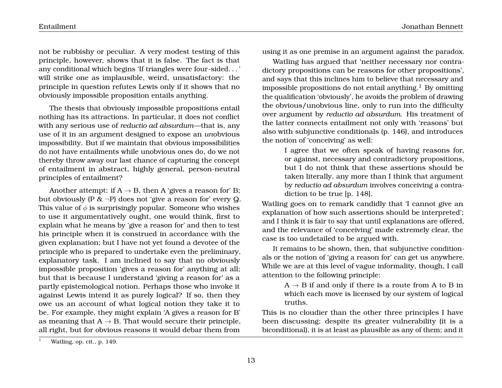not be rubbishy or peculiar. A very modest testing of this principle, however, shows that it is false. The fact is that any conditional which begins 'If triangles were four-sided. . . ' will strike one as implausible, weird, unsatisfactory: the principle in question refutes Lewis only if it shows that no obviously impossible proposition entails anything.

The thesis that obviously impossible propositions entail nothing has its attractions. In particular, it does not conflict with any serious use of *reductio ad absurdum*—that is, any use of it in an argument designed to expose an *un*obvious impossibility. But if we maintain that obvious impossibilities do not have entailments while unobvious ones do, do we not thereby throw away our last chance of capturing the concept of entailment in abstract, highly general, person-neutral principles of entailment?

Another attempt: if  $A \rightarrow B$ , then A 'gives a reason for' B; but obviously (P  $\&$   $\neg$ P) does not 'give a reason for' every Q. This value of  $\phi$  is surprisingly popular. Someone who wishes to use it argumentatively ought, one would think, first to explain what he means by 'give a reason for' and then to test his principle when it is construed in accordance with the given explanation; but I have not yet found a devotee of the principle who is prepared to undertake even the preliminary, explanatory task. I am inclined to say that no obviously impossible proposition 'gives a reason for' anything at all; but that is because I understand 'giving a reason for' as a partly epistemological notion. Perhaps those who invoke it against Lewis intend it as purely logical? If so, then they owe us an account of what logical notion they take it to be. For example, they might explain 'A gives a reason for B' as meaning that  $A \rightarrow B$ . That would secure their principle, all right, but for obvious reasons it would debar them from using it as one premise in an argument against the paradox.

Watling has argued that 'neither necessary nor contradictory propositions can be reasons for other propositions', and says that this inclines him to believe that necessary and impossible propositions do not entail anything.<sup>1</sup> By omitting the qualification 'obviously', he avoids the problem of drawing the obvious/unobvious line, only to run into the difficulty over argument by *reductio ad absurdum*. His treatment of the latter connects entailment not only with 'reasons' but also with subjunctive conditionals (p. 146), and introduces the notion of 'conceiving' as well:

> I agree that we often speak of having reasons for, or against, necessary and contradictory propositions, but I do not think that these assertions should be taken literally, any more than I think that argument by *reductio ad absurdum* involves conceiving a contradiction to be true [p. 148].

Watling goes on to remark candidly that 'I cannot give an explanation of how such assertions should be interpreted'; and I think it is fair to say that until explanations are offered, and the relevance of 'conceiving' made extremely clear, the case is too undetailed to be argued with.

It remains to be shown, then, that subjunctive conditionals or the notion of 'giving a reason for' can get us anywhere. While we are at this level of vague informality, though, I call attention to the following principle:

> $A \rightarrow B$  if and only if there is a route from A to B in which each move is licensed by our system of logical truths.

This is no cloudier than the other three principles I have been discussing; despite its greater vulnerability (it is a biconditional), it is at least as plausible as any of them; and it

Watling, op. cit., p. 149.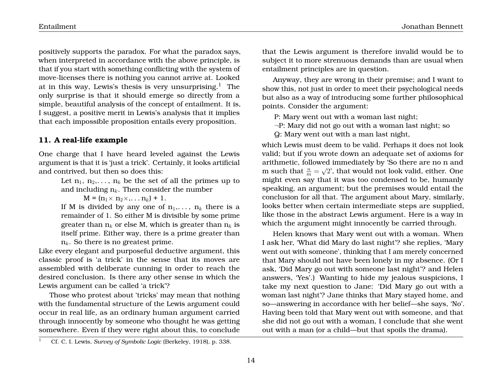positively supports the paradox. For what the paradox says, when interpreted in accordance with the above principle, is that if you start with something conflicting with the system of move-licenses there is nothing you cannot arrive at. Looked at in this way, Lewis's thesis is very unsurprising.<sup>1</sup> The only surprise is that it should emerge so directly from a simple, beautiful analysis of the concept of entailment. It is, I suggest, a positive merit in Lewis's analysis that it implies that each impossible proposition entails every proposition.

## **11. A real-life example**

One charge that I have heard leveled against the Lewis argument is that it is 'just a trick'. Certainly, it looks artificial and contrived, but then so does this:

> Let  $n_1, n_2,..., n_k$  be the set of all the primes up to and including  $n_k$ . Then consider the number

> > $M = (n_1 \times n_2 \times \ldots \times n_k) + 1.$

If M is divided by any one of  $n_1, \ldots, n_k$  there is a remainder of 1. So either M is divisible by some prime greater than  $n_k$  or else M, which is greater than  $n_k$  is itself prime. Either way, there is a prime greater than  $n_k$ . So there is no greatest prime.

Like every elegant and purposeful deductive argument, this classic proof is 'a trick' in the sense that its moves are assembled with deliberate cunning in order to reach the desired conclusion. Is there any other sense in which the Lewis argument can be called 'a trick'?

Those who protest about 'tricks' may mean that nothing with the fundamental structure of the Lewis argument could occur in real life, as an ordinary human argument carried through innocently by someone who thought he was getting somewhere. Even if they were right about this, to conclude

that the Lewis argument is therefore invalid would be to subject it to more strenuous demands than are usual when entailment principles are in question.

Anyway, they are wrong in their premise; and I want to show this, not just in order to meet their psychological needs but also as a way of introducing some further philosophical points. Consider the argument:

P: Mary went out with a woman last night;

¬P: Mary did not go out with a woman last night; so

Q: Mary went out with a man last night,

which Lewis must deem to be valid. Perhaps it does not look valid; but if you wrote down an adequate set of axioms for arithmetic, followed immediately by 'So there are no n and arrametic, ionowed inhiculately by So there are no if and<br>m such that  $\frac{n}{m} = \sqrt{2}$ , that would not look valid, either. One might even say that it was too condensed to be, humanly speaking, an argument; but the premises would entail the conclusion for all that. The argument about Mary, similarly, looks better when certain intermediate steps are supplied, like those in the abstract Lewis argument. Here is a way in which the argument might innocently be carried through.

Helen knows that Mary went out with a woman. When I ask her, 'What did Mary do last night'? she replies, 'Mary went out with someone', thinking that I am merely concerned that Mary should not have been lonely in my absence. (Or I ask, 'Did Mary go out with someone last night'? and Helen answers, 'Yes'.) Wanting to hide my jealous suspicions, I take my next question to Jane: 'Did Mary go out with a woman last night'? Jane thinks that Mary stayed home, and so—answering in accordance with her belief—she says, 'No'. Having been told that Mary went out with someone, and that she did not go out with a woman, I conclude that she went out with a man (or a child—but that spoils the drama).

<sup>1</sup> Cf. C. I. Lewis, *Survey of Symbolic Logic* (Berkeley, 1918), p. 338.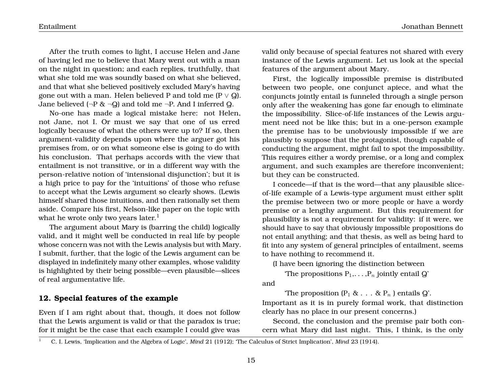After the truth comes to light, I accuse Helen and Jane of having led me to believe that Mary went out with a man on the night in question; and each replies, truthfully, that what she told me was soundly based on what she believed, and that what she believed positively excluded Mary's having gone out with a man. Helen believed P and told me ( $P \vee Q$ ). Jane believed  $(\neg P \& \neg Q)$  and told me  $\neg P$ . And I inferred Q.

No-one has made a logical mistake here: not Helen, not Jane, not I. Or must we say that one of us erred logically because of what the others were up to? If so, then argument-validity depends upon where the arguer got his premises from, or on what someone else is going to do with his conclusion. That perhaps accords with the view that entailment is not transitive, or in a different way with the person-relative notion of 'intensional disjunction'; but it is a high price to pay for the 'intuitions' of those who refuse to accept what the Lewis argument so clearly shows. (Lewis himself shared those intuitions, and then rationally set them aside. Compare his first, Nelson-like paper on the topic with what he wrote only two years later.<sup>1</sup>

The argument about Mary is (barring the child) logically valid, and it might well be conducted in real life by people whose concern was not with the Lewis analysis but with Mary. I submit, further, that the logic of the Lewis argument can be displayed in indefinitely many other examples, whose validity is highlighted by their being possible—even plausible—slices of real argumentative life.

## **12. Special features of the example**

Even if I am right about that, though, it does not follow that the Lewis argument is valid or that the paradox is true; for it might be the case that each example I could give was

valid only because of special features not shared with every instance of the Lewis argument. Let us look at the special features of the argument about Mary.

First, the logically impossible premise is distributed between two people, one conjunct apiece, and what the conjuncts jointly entail is funneled through a single person only after the weakening has gone far enough to eliminate the impossibility. Slice-of-life instances of the Lewis argument need not be like this; but in a one-person example the premise has to be unobviously impossible if we are plausibly to suppose that the protagonist, though capable of conducting the argument, might fail to spot the impossibility. This requires either a wordy premise, or a long and complex argument, and such examples are therefore inconvenient; but they can be constructed.

I concede—if that is the word—that any plausible sliceof-life example of a Lewis-type argument must either split the premise between two or more people or have a wordy premise or a lengthy argument. But this requirement for plausibility is not a requirement for validity: if it were, we should have to say that obviously impossible propositions do not entail anything; and that thesis, as well as being hard to fit into any system of general principles of entailment, seems to have nothing to recommend it.

(I have been ignoring the distinction between

The propositions  $P_1, \ldots, P_n$  jointly entail Q' and

The proposition  $(P_1 \& \ldots \& P_n)$  entails  $Q'$ . Important as it is in purely formal work, that distinction clearly has no place in our present concerns.)

Second, the conclusion and the premise pair both concern what Mary did last night. This, I think, is the only

<sup>1</sup> C. I. Lewis, 'Implication and the Algebra of Logic', *Mind* 21 (1912); 'The Calculus of Strict Implication', *Mind* 23 (1914).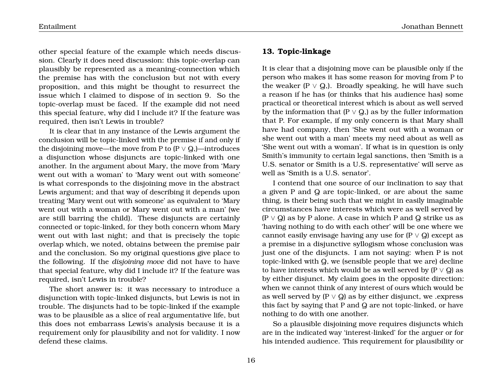other special feature of the example which needs discussion. Clearly it does need discussion: this topic-overlap can plausibly be represented as a meaning-connection which the premise has with the conclusion but not with every proposition, and this might be thought to resurrect the issue which I claimed to dispose of in section 9. So the topic-overlap must be faced. If the example did not need this special feature, why did I include it? If the feature was required, then isn't Lewis in trouble?

It is clear that in any instance of the Lewis argument the conclusion will be topic-linked with the premise if and only if the disjoining move—the move from P to  $(P \vee Q)$ —introduces a disjunction whose disjuncts are topic-linked with one another. In the argument about Mary, the move from 'Mary went out with a woman' to 'Mary went out with someone' is what corresponds to the disjoining move in the abstract Lewis argument; and that way of describing it depends upon treating 'Mary went out with someone' as equivalent to 'Mary went out with a woman or Mary went out with a man' (we are still barring the child). These disjuncts are certainly connected or topic-linked, for they both concern whom Mary went out with last night; and that is precisely the topic overlap which, we noted, obtains between the premise pair and the conclusion. So my original questions give place to the following. If the *disjoining move* did not have to have that special feature, why did I include it? If the feature was required, isn't Lewis in trouble?

The short answer is: it was necessary to introduce a disjunction with topic-linked disjuncts, but Lewis is not in trouble. The disjuncts had to be topic-linked if the example was to be plausible as a slice of real argumentative life, but this does not embarrass Lewis's analysis because it is a requirement only for plausibility and not for validity. I now defend these claims.

#### **13. Topic-linkage**

It is clear that a disjoining move can be plausible only if the person who makes it has some reason for moving from P to the weaker (P  $\vee$  Q,). Broadly speaking, he will have such a reason if he has (or thinks that his audience has) some practical or theoretical interest which is about as well served by the information that (P  $\vee$  Q,) as by the fuller information that P. For example, if my only concern is that Mary shall have had company, then 'She went out with a woman or she went out with a man' meets my need about as well as 'She went out with a woman'. If what is in question is only Smith's immunity to certain legal sanctions, then 'Smith is a U.S. senator or Smith is a U.S. representative' will serve as well as 'Smith is a U.S. senator'.

I contend that one source of our inclination to say that a given P and Q are topic-linked, or are about the same thing, is their being such that we might in easily imaginable circumstances have interests which were as well served by  $(P \vee Q)$  as by P alone. A case in which P and Q strike us as 'having nothing to do with each other' will be one where we cannot easily envisage having any use for  $(P \vee Q)$  except as a premise in a disjunctive syllogism whose conclusion was just one of the disjuncts. I am not saying: when P is not topic-linked with Q, we (sensible people that we are) decline to have interests which would be as well served by (P  $\vee$  Q) as by either disjunct. My claim goes in the opposite direction: when we cannot think of any interest of ours which would be as well served by  $(P \vee Q)$  as by either disjunct, we .express this fact by saying that P and Q are not topic-linked, or have nothing to do with one another.

So a plausible disjoining move requires disjuncts which are in the indicated way 'interest-linked' for the arguer or for his intended audience. This requirement for plausibility or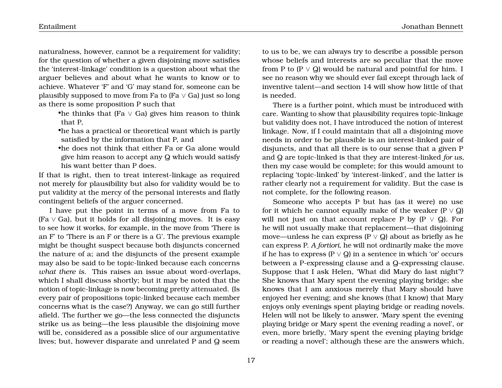naturalness, however, cannot be a requirement for validity; for the question of whether a given disjoining move satisfies the 'interest-linkage' condition is a question about what the arguer believes and about what he wants to know or to achieve. Whatever 'F' and 'G' may stand for, someone can be plausibly supposed to move from Fa to (Fa  $\vee$  Ga) just so long as there is some proposition P such that

•he thinks that (Fa  $\vee$  Ga) gives him reason to think that P,

•he has a practical or theoretical want which is partly satisfied by the information that P, and

•he does not think that either Fa or Ga alone would give him reason to accept any Q which would satisfy his want better than P does.

If that is right, then to treat interest-linkage as required not merely for plausibility but also for validity would be to put validity at the mercy of the personal interests and flatly contingent beliefs of the arguer concerned.

I have put the point in terms of a move from Fa to (Fa  $\vee$  Ga), but it holds for all disjoining moves. It is easy to see how it works, for example, in the move from 'There is an F' to 'There is an F or there is a G'. The previous example might be thought suspect because both disjuncts concerned the nature of a; and the disjuncts of the present example may also be said to be topic-linked because each concerns *what there is*. This raises an issue about word-overlaps, which I shall discuss shortly; but it may be noted that the notion of topic-linkage is now becoming pretty attenuated. (Is every pair of propositions topic-linked because each member concerns what is the case?) Anyway, we can go still further afield. The further we go—the less connected the disjuncts strike us as being—the less plausible the disjoining move will be, considered as a possible slice of our argumentative lives; but, however disparate and unrelated P and Q seem to us to be, we can always try to describe a possible person whose beliefs and interests are so peculiar that the move from P to  $(P \vee Q)$  would be natural and pointful for him. I see no reason why we should ever fail except through lack of inventive talent—and section 14 will show how little of that is needed.

There is a further point, which must be introduced with care. Wanting to show that plausibility requires topic-linkage but validity does not, I have introduced the notion of interest linkage. Now, if I could maintain that all a disjoining move needs in order to be plausible is an interest-linked pair of disjuncts, and that all there is to our sense that a given P and Q are topic-linked is that they are interest-linked *for us*, then my case would be complete; for this would amount to replacing 'topic-linked' by 'interest-linked', and the latter is rather clearly not a requirement for validity. But the case is not complete, for the following reason.

Someone who accepts P but has (as it were) no use for it which he cannot equally make of the weaker (P  $\vee$  Q) will not just on that account replace P by  $(P \vee Q)$ . For he will not usually make that replacement—that disjoining move—unless he can express ( $P \vee Q$ ) about as briefly as he can express P. *A fortiori*, he will not ordinarily make the move if he has to express ( $P \vee Q$ ) in a sentence in which 'or' occurs between a P-expressing clause and a Q-expressing clause. Suppose that I ask Helen, 'What did Mary do last night'? She knows that Mary spent the evening playing bridge; she knows that I am anxious merely that Mary should have enjoyed her evening; and she knows (that I know) that Mary enjoys only evenings spent playing bridge or reading novels. Helen will not be likely to answer, 'Mary spent the evening playing bridge or Mary spent the evening reading a novel', or even, more briefly, 'Mary spent the evening playing bridge or reading a novel'; although these are the answers which,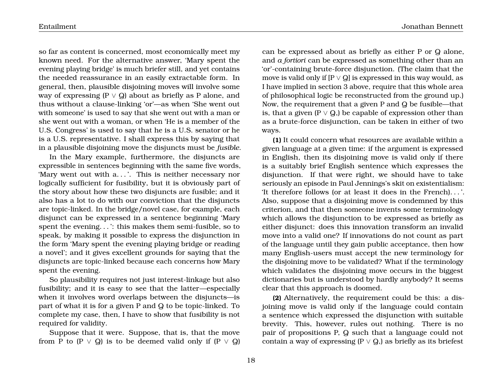so far as content is concerned, most economically meet my known need. For the alternative answer, 'Mary spent the evening playing bridge' is much briefer still, and yet contains the needed reassurance in an easily extractable form. In general, then, plausible disjoining moves will involve some way of expressing  $(P \vee Q)$  about as briefly as P alone, and thus without a clause-linking 'or'—as when 'She went out with someone' is used to say that she went out with a man or she went out with a woman, or when 'He is a member of the U.S. Congress' is used to say that he is a U.S. senator or he is a U.S. representative. I shall express this by saying that in a plausible disjoining move the disjuncts must be *fusible*.

In the Mary example, furthermore, the disjuncts are expressible in sentences beginning with the same five words, 'Mary went out with a...'. This is neither necessary nor logically sufficient for fusibility, but it is obviously part of the story about how these two disjuncts are fusible; and it also has a lot to do with our conviction that the disjuncts are topic-linked. In the bridge/novel case, for example, each disjunct can be expressed in a sentence beginning 'Mary spent the evening. . . ': this makes them semi-fusible, so to speak, by making it possible to express the disjunction in the form 'Mary spent the evening playing bridge or reading a novel'; and it gives excellent grounds for saying that the disjuncts are topic-linked because each concerns how Mary spent the evening.

So plausibility requires not just interest-linkage but also fusibility; and it is easy to see that the latter—especially when it involves word overlaps between the disjuncts—is part of what it is for a given P and Q to be topic-linked. To complete my case, then, I have to show that fusibility is not required for validity.

Suppose that it were. Suppose, that is, that the move from P to  $(P \vee Q)$  is to be deemed valid only if  $(P \vee Q)$  can be expressed about as briefly as either P or Q alone, and *a fortiori* can be expressed as something other than an 'or'-containing brute-force disjunction. (The claim that the move is valid only if  $[P \vee Q]$  is expressed in this way would, as I have implied in section 3 above, require that this whole area of philosophical logic be reconstructed from the ground up.) Now, the requirement that a given P and Q be fusible—that is, that a given  $(P \vee Q)$  be capable of expression other than as a brute-force disjunction, can be taken in either of two ways.

**(1)** It could concern what resources are available within a given language at a given time: if the argument is expressed in English, then its disjoining move is valid only if there is a suitably brief English sentence which expresses the disjunction. If that were right, we should have to take seriously an episode in Paul Jennings's skit on existentialism: 'It therefore follows (or at least it does in the French). . . '. Also, suppose that a disjoining move is condemned by this criterion, and that then someone invents some terminology which allows the disjunction to be expressed as briefly as either disjunct: does this innovation transform an invalid move into a valid one? If innovations do not count as part of the language until they gain public acceptance, then how many English-users must accept the new terminology for the disjoining move to be validated? What if the terminology which validates the disjoining move occurs in the biggest dictionaries but is understood by hardly anybody? It seems clear that this approach is doomed.

**(2)** Alternatively, the requirement could be this: a disjoining move is valid only if the language could contain a sentence which expressed the disjunction with suitable brevity. This, however, rules out nothing. There is no pair of propositions P, Q such that a language could not contain a way of expressing ( $P \vee Q$ ,) as briefly as its briefest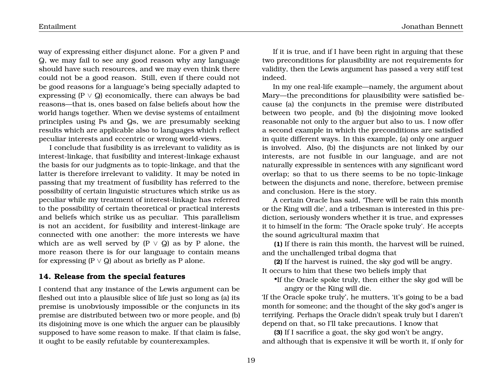way of expressing either disjunct alone. For a given P and Q, we may fail to see any good reason why any language should have such resources, and we may even think there could not be a good reason. Still, even if there could not be good reasons for a language's being specially adapted to expressing ( $P \vee Q$ ) economically, there can always be bad reasons—that is, ones based on false beliefs about how the world hangs together. When we devise systems of entailment principles using Ps and Qs, we are presumably seeking results which are applicable also to languages which reflect peculiar interests and eccentric or wrong world-views.

I conclude that fusibility is as irrelevant to validity as is interest-linkage, that fusibility and interest-linkage exhaust the basis for our judgments as to topic-linkage, and that the latter is therefore irrelevant to validity. It may be noted in passing that my treatment of fusibility has referred to the possibility of certain linguistic structures which strike us as peculiar while my treatment of interest-linkage has referred to the possibility of certain theoretical or practical interests and beliefs which strike us as peculiar. This parallelism is not an accident, for fusibility and interest-linkage are connected with one another: the more interests we have which are as well served by  $(P \vee Q)$  as by P alone, the more reason there is for our language to contain means for expressing ( $P \vee Q$ ) about as briefly as P alone.

#### **14. Release from the special features**

I contend that any instance of the Lewis argument can be fleshed out into a plausible slice of life just so long as (a) its premise is unobviously impossible or the conjuncts in its premise are distributed between two or more people, and (b) its disjoining move is one which the arguer can be plausibly supposed to have some reason to make. If that claim is false, it ought to be easily refutable by counterexamples.

If it is true, and if I have been right in arguing that these two preconditions for plausibility are not requirements for validity, then the Lewis argument has passed a very stiff test indeed.

In my one real-life example—namely, the argument about Mary—the preconditions for plausibility were satisfied because (a) the conjuncts in the premise were distributed between two people, and (b) the disjoining move looked reasonable not only to the arguer but also to us. I now offer a second example in which the preconditions are satisfied in quite different ways. In this example, (a) only one arguer is involved. Also, (b) the disjuncts are not linked by our interests, are not fusible in our language, and are not naturally expressible in sentences with any significant word overlap; so that to us there seems to be no topic-linkage between the disjuncts and none, therefore, between premise and conclusion. Here is the story.

A certain Oracle has said, 'There will be rain this month or the King will die', and a tribesman is interested in this prediction, seriously wonders whether it is true, and expresses it to himself in the form: 'The Oracle spoke truly'. He accepts the sound agricultural maxim that

**(1)** If there is rain this month, the harvest will be ruined, and the unchallenged tribal dogma that

**(2)** If the harvest is ruined, the sky god will be angry. It occurs to him that these two beliefs imply that

•If the Oracle spoke truly, then either the sky god will be angry or the King will die.

'If the Oracle spoke truly', he mutters, 'it's going to be a bad month for someone; and the thought of the sky god's anger is terrifying. Perhaps the Oracle didn't speak truly but I daren't depend on that, so I'll take precautions. I know that

**(3)** If I sacrifice a goat, the sky god won't be angry, and although that is expensive it will be worth it, if only for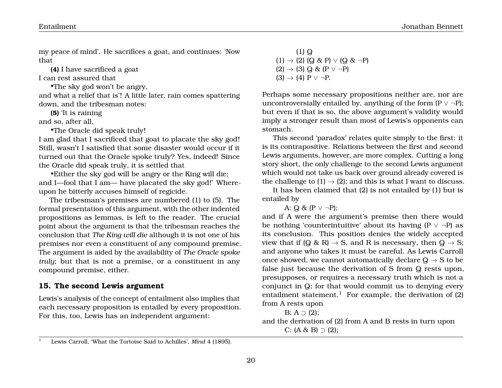my peace of mind'. He sacrifices a goat, and continues: 'Now that

**(4)** I have sacrificed a goat I can rest assured that

•The sky god won't be angry,

and what a relief that is'! A little later, rain comes spattering down, and the tribesman notes:

**(5)** 'It is raining

and so, after all,

•The Oracle did speak truly!

I am glad that I sacrificed that goat to placate the sky god! Still, wasn't I satisfied that some disaster would occur if it turned out that the Oracle spoke truly? Yes, indeed! Since the Oracle did speak truly, it is settled that

•Either the sky god will be angry or the King will die; and I—fool that I am— have placated the sky god!' Whereupon he bitterly accuses himself of regicide.

The tribesman's premises are numbered (1) to (5). The formal presentation of this argument, with the other indented propositions as lemmas, is left to the reader. The crucial point about the argument is that the tribesman reaches the conclusion that *The King will die* although it is not one of his premises nor even a constituent of any compound premise. The argument is aided by the availability of *The Oracle spoke truly*; but that is not a premise, or a constituent in any compound premise, either.

#### **15. The second Lewis argument**

Lewis's analysis of the concept of entailment also implies that each necessary proposition is entailed by every proposition. For this, too, Lewis has an independent argument:

 $(1)$  Q  $(1) \rightarrow (2)$   $(Q \& P) \vee (Q \& \neg P)$  $(2) \rightarrow (3)$  Q &  $(P \vee \neg P)$  $(3) \rightarrow (4) P \vee \neg P$ .

Perhaps some necessary propositions neither are, nor are uncontroversially entailed by, anything of the form  $(P \vee \neg P)$ ; but even if that is so, the above argument's validity would imply a stronger result than most of Lewis's opponents can stomach.

This second 'paradox' relates quite simply to the first: it is its contrapositive. Relations between the first and second Lewis arguments, however, are more complex. Cutting a long story short, the only challenge to the second Lewis argument which would not take us back over ground already covered is the challenge to  $(1) \rightarrow (2)$ ; and this is what I want to discuss.

It has been claimed that (2) is not entailed by (1) but is entailed by

A:  $Q \& (P \lor \neg P)$ ;

and if A were the argument's premise then there would be nothing 'counterintuitive' about its having  $(P \vee \neg P)$  as its conclusion. This position denies the widely accepted view that if (Q & R)  $\rightarrow$  S, and R is necessary, then  $Q \rightarrow S$ ; and anyone who takes it must be careful. As Lewis Carroll once showed, we cannot automatically declare  $Q \rightarrow S$  to be false just because the derivation of S from Q rests upon, presupposes, or requires a necessary truth which is not a conjunct in Q; for that would commit us to denying every entailment statement.<sup>1</sup> For example, the derivation of  $(2)$ from A rests upon

B:  $A \supseteq (2)$ ;

and the derivation of (2) from A and B rests in turn upon C:  $(A & B) \supseteq (2)$ ;

<sup>1</sup> Lewis Carroll, 'What the Tortoise Said to Achilles', *Mind* 4 (1895).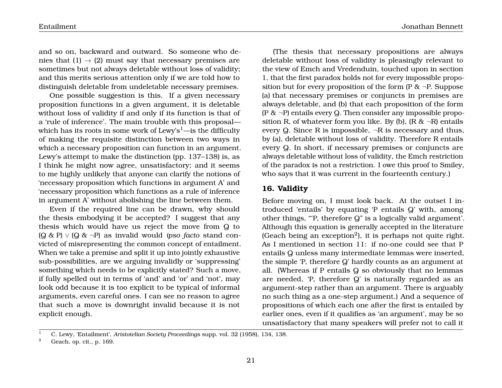and so on, backward and outward. So someone who denies that  $(1) \rightarrow (2)$  must say that necessary premises are sometimes but not always deletable without loss of validity; and this merits serious attention only if we are told how to distinguish deletable from undeletable necessary premises.

One possible suggestion is this. If a given necessary proposition functions in a given argument, it is deletable without loss of validity if and only if its function is that of a 'rule of inference'. The main trouble with this proposal which has its roots in some work of Lewy's<sup>1</sup>—is the difficulty of making the requisite distinction between two ways in which a necessary proposition can function in an argument. Lewy's attempt to make the distinction (pp. 137–138) is, as I think he might now agree, unsatisfactory; and it seems to me highly unlikely that anyone can clarify the notions of 'necessary proposition which functions in argument A' and 'necessary proposition which functions as a rule of inference in argument A' without abolishing the line between them.

Even if the required line can be drawn, why should the thesis embodying it be accepted? I suggest that any thesis which would have us reject the move from Q to (Q & P) ∨ (Q & ¬P) as invalid would *ipso facto* stand convicted of misrepresenting the common concept of entailment. When we take a premise and split it up into jointly exhaustive sub-possibilities, are we arguing invalidly or 'suppressing' something which needs to be explicitly stated? Such a move, if fully spelled out in terms of 'and' and 'or' and 'not', may look odd because it is too explicit to be typical of informal arguments, even careful ones. I can see no reason to agree that such a move is downright invalid because it is not explicit enough.

(The thesis that necessary propositions are always deletable without loss of validity is pleasingly relevant to the view of Emch and Vredenduin, touched upon in section 1, that the first paradox holds not for every impossible proposition but for every proposition of the form (P  $\& \neg P$ . Suppose (a) that necessary premises or conjuncts in premises are always deletable, and (b) that each proposition of the form (P  $\&$   $\neg$ P) entails every Q. Then consider any impossible proposition R, of whatever form you like. By (b),  $(R & \neg R)$  entails every Q. Since R is impossible,  $\neg R$  is necessary and thus, by (a), deletable without loss of validity. Therefore R entails every Q. In short, if necessary premises or conjuncts are always deletable without loss of validity, the Emch restriction of the paradox is not a restriction. I owe this proof to Smiley, who says that it was current in the fourteenth century.)

## **16. Validity**

Before moving on, I must look back. At the outset I introduced 'entails' by equating 'P entails Q' with, among other things, "'P, therefore Q" is a logically valid argument'. Although this equation is generally accepted in the literature (Geach being an exception<sup>2</sup>), it is perhaps not quite right. As I mentioned in section 11: if no-one could see that P entails Q unless many intermediate lemmas were inserted, the simple 'P, therefore Q' hardly counts as an argument at all. (Whereas if P entails Q so obviously that no lemmas are needed, 'P, therefore Q' is naturally regarded as an argument-step rather than an argument. There is arguably no such thing as a one-step argument.) And a sequence of propositions of which each one after the first is entailed by earlier ones, even if it qualifies as 'an argument', may be so unsatisfactory that many speakers will prefer not to call it

<sup>1</sup> C. Lewy, 'Entailment', *Aristotelian Society Proceedings* supp. vol. 32 (1958), 134, 138.

<sup>2</sup> Geach, op. cit., p. 169.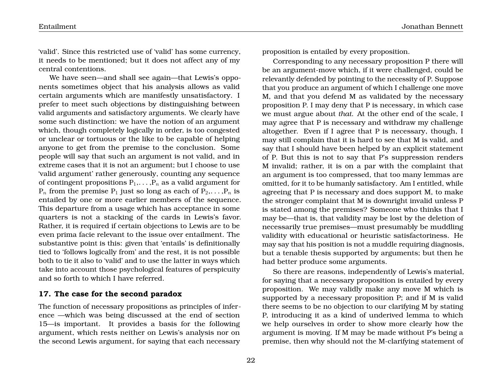'valid'. Since this restricted use of 'valid' has some currency, it needs to be mentioned; but it does not affect any of my central contentions.

We have seen—and shall see again—that Lewis's opponents sometimes object that his analysis allows as valid certain arguments which are manifestly unsatisfactory. I prefer to meet such objections by distinguishing between valid arguments and satisfactory arguments. We clearly have some such distinction: we have the notion of an argument which, though completely logically in order, is too congested or unclear or tortuous or the like to be capable of helping anyone to get from the premise to the conclusion. Some people will say that such an argument is not valid, and in extreme cases that it is not an argument; but I choose to use 'valid argument' rather generously, counting any sequence of contingent propositions  $P_1, \ldots, P_n$  as a valid argument for  $P_n$  from the premise  $P_1$  just so long as each of  $P_2, \ldots, P_n$  is entailed by one or more earlier members of the sequence. This departure from a usage which has acceptance in some quarters is not a stacking of the cards in Lewis's favor. Rather, it is required if certain objections to Lewis are to be even prima facie relevant to the issue over entailment. The substantive point is this: given that 'entails' is definitionally tied to 'follows logically from' and the rest, it is not possible both to tie it also to 'valid' and to use the latter in ways which take into account those psychological features of perspicuity and so forth to which I have referred.

#### **17. The case for the second paradox**

The function of necessary propositions as principles of inference —which was being discussed at the end of section 15—is important. It provides a basis for the following argument, which rests neither on Lewis's analysis nor on the second Lewis argument, for saying that each necessary

proposition is entailed by every proposition.

Corresponding to any necessary proposition P there will be an argument-move which, if it were challenged, could be relevantly defended by pointing to the necessity of P. Suppose that you produce an argument of which I challenge one move M, and that you defend M as validated by the necessary proposition P. I may deny that P is necessary, in which case we must argue about *that*. At the other end of the scale, I may agree that P is necessary and withdraw my challenge altogether. Even if I agree that P is necessary, though, I may still complain that it is hard to see that M is valid, and say that I should have been helped by an explicit statement of P. But this is not to say that P's suppression renders M invalid; rather, it is on a par with the complaint that an argument is too compressed, that too many lemmas are omitted, for it to be humanly satisfactory. Am I entitled, while agreeing that P is necessary and does support M, to make the stronger complaint that M is downright invalid unless P is stated among the premises? Someone who thinks that I may be—that is, that validity may be lost by the deletion of necessarily true premises—must presumably be muddling validity with educational or heuristic satisfactoriness. He may say that his position is not a muddle requiring diagnosis, but a tenable thesis supported by arguments; but then he had better produce some arguments.

So there are reasons, independently of Lewis's material, for saying that a necessary proposition is entailed by every proposition. We may validly make any move M which is supported by a necessary proposition P; and if M is valid there seems to be no objection to our clarifying M by stating P, introducing it as a kind of underived lemma to which we help ourselves in order to show more clearly how the argument is moving. If M may be made without P's being a premise, then why should not the M-clarifying statement of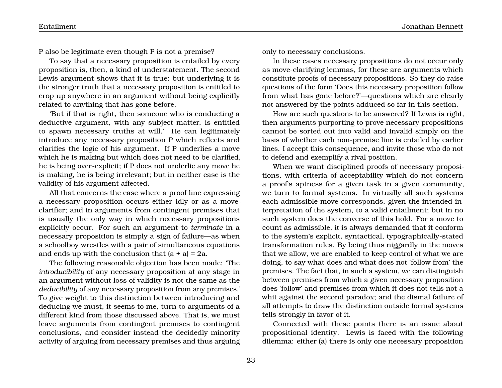P also be legitimate even though P is not a premise?

To say that a necessary proposition is entailed by every proposition is, then, a kind of understatement. The second Lewis argument shows that it is true; but underlying it is the stronger truth that a necessary proposition is entitled to crop up anywhere in an argument without being explicitly related to anything that has gone before.

'But if that is right, then someone who is conducting a deductive argument, with any subject matter, is entitled to spawn necessary truths at will.' He can legitimately introduce any necessary proposition P which reflects and clarifies the logic of his argument. If P underlies a move which he is making but which does not need to be clarified, he is being over-explicit; if P does not underlie any move he is making, he is being irrelevant; but in neither case is the validity of his argument affected.

All that concerns the case where a proof line expressing a necessary proposition occurs either idly or as a moveclarifier; and in arguments from contingent premises that is usually the only way in which necessary propositions explicitly occur. For such an argument to *terminate* in a necessary proposition is simply a sign of failure—as when a schoolboy wrestles with a pair of simultaneous equations and ends up with the conclusion that  $(a + a) = 2a$ .

The following reasonable objection has been made: 'The *introducibility* of any necessary proposition at any stage in an argument without loss of validity is not the same as the *deducibility* of any necessary proposition from any premises.' To give weight to this distinction between introducing and deducing we must, it seems to me, turn to arguments of a different kind from those discussed above. That is, we must leave arguments from contingent premises to contingent conclusions, and consider instead the decidedly minority activity of arguing from necessary premises and thus arguing only to necessary conclusions.

In these cases necessary propositions do not occur only as move-clarifying lemmas, for these are arguments which constitute proofs of necessary propositions. So they do raise questions of the form 'Does this necessary proposition follow from what has gone before?'—questions which are clearly not answered by the points adduced so far in this section.

How are such questions to be answered? If Lewis is right, then arguments purporting to prove necessary propositions cannot be sorted out into valid and invalid simply on the basis of whether each non-premise line is entailed by earlier lines. I accept this consequence, and invite those who do not to defend and exemplify a rival position.

When we want disciplined proofs of necessary propositions, with criteria of acceptability which do not concern a proof's aptness for a given task in a given community, we turn to formal systems. In virtually all such systems each admissible move corresponds, given the intended interpretation of the system, to a valid entailment; but in no such system does the converse of this hold. For a move to count as admissible, it is always demanded that it conform to the system's explicit, syntactical, typographically-stated transformation rules. By being thus niggardly in the moves that we allow, we are enabled to keep control of what we are doing, to say what does and what does not 'follow from' the premises. The fact that, in such a system, we can distinguish between premises from which a given necessary proposition does 'follow' and premises from which it does not tells not a whit against the second paradox; and the dismal failure of all attempts to draw the distinction outside formal systems tells strongly in favor of it.

Connected with these points there is an issue about propositional identity. Lewis is faced with the following dilemma: either (a) there is only one necessary proposition